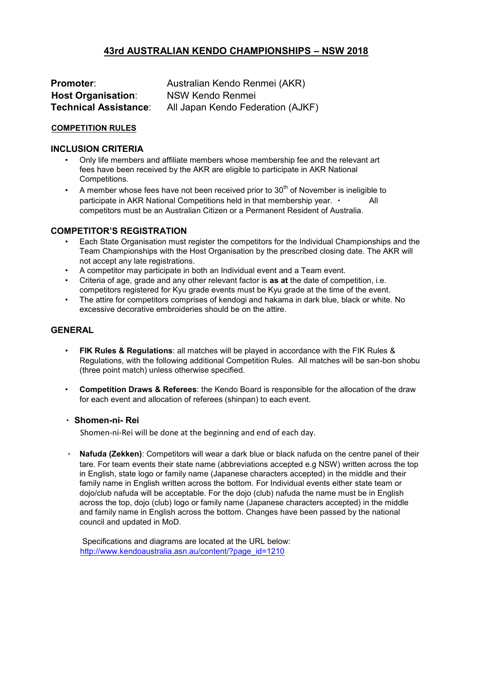# **43rd AUSTRALIAN KENDO CHAMPIONSHIPS – NSW 2018**

| <b>Promoter:</b>             | Australian Kendo Renmei (AKR)     |  |
|------------------------------|-----------------------------------|--|
| <b>Host Organisation:</b>    | NSW Kendo Renmei                  |  |
| <b>Technical Assistance:</b> | All Japan Kendo Federation (AJKF) |  |

### **COMPETITION RULES**

### **INCLUSION CRITERIA**

- Only life members and affiliate members whose membership fee and the relevant art fees have been received by the AKR are eligible to participate in AKR National Competitions.
- A member whose fees have not been received prior to  $30<sup>th</sup>$  of November is ineligible to participate in AKR National Competitions held in that membership year. . [41] competitors must be an Australian Citizen or a Permanent Resident of Australia.

# **COMPETITOR'S REGISTRATION**

- Each State Organisation must register the competitors for the Individual Championships and the Team Championships with the Host Organisation by the prescribed closing date. The AKR will not accept any late registrations.
- A competitor may participate in both an Individual event and a Team event.
- Criteria of age, grade and any other relevant factor is **as at** the date of competition, i.e. competitors registered for Kyu grade events must be Kyu grade at the time of the event.
- The attire for competitors comprises of kendogi and hakama in dark blue, black or white. No excessive decorative embroideries should be on the attire.

# **GENERAL**

- **FIK Rules & Regulations**: all matches will be played in accordance with the FIK Rules & Regulations, with the following additional Competition Rules. All matches will be san-bon shobu (three point match) unless otherwise specified.
- **Competition Draws & Referees**: the Kendo Board is responsible for the allocation of the draw for each event and allocation of referees (shinpan) to each event.

### **Shomen-ni- Rei**

Shomen-ni-Rei will be done at the beginning and end of each day.

**Nafuda (Zekken)**: Competitors will wear a dark blue or black nafuda on the centre panel of their tare. For team events their state name (abbreviations accepted e.g NSW) written across the top in English, state logo or family name (Japanese characters accepted) in the middle and their family name in English written across the bottom. For Individual events either state team or dojo/club nafuda will be acceptable. For the dojo (club) nafuda the name must be in English across the top, dojo (club) logo or family name (Japanese characters accepted) in the middle and family name in English across the bottom. Changes have been passed by the national council and updated in MoD.

Specifications and diagrams are located at the URL below: [http://www.kendoaustralia.asn.au/content/?page\\_id=1210](http://www.kendoaustralia.asn.au/content/?page_id=1210)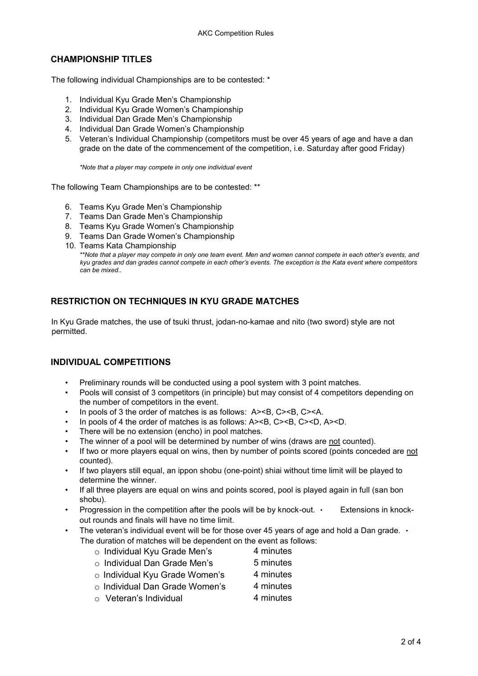# **CHAMPIONSHIP TITLES**

The following individual Championships are to be contested: \*

- 1. Individual Kyu Grade Men's Championship
- 2. Individual Kyu Grade Women's Championship
- 3. Individual Dan Grade Men's Championship
- 4. Individual Dan Grade Women's Championship
- 5. Veteran's Individual Championship (competitors must be over 45 years of age and have a dan grade on the date of the commencement of the competition, i.e. Saturday after good Friday)

*\*Note that a player may compete in only one individual event* 

The following Team Championships are to be contested: \*\*

- 6. Teams Kyu Grade Men's Championship
- 7. Teams Dan Grade Men's Championship
- 8. Teams Kyu Grade Women's Championship
- 9. Teams Dan Grade Women's Championship
- 10. Teams Kata Championship

*\*\*Note that a player may compete in only one team event. Men and women cannot compete in each other's events, and kyu grades and dan grades cannot compete in each other's events. The exception is the Kata event where competitors can be mixed..* 

# **RESTRICTION ON TECHNIQUES IN KYU GRADE MATCHES**

In Kyu Grade matches, the use of tsuki thrust, jodan-no-kamae and nito (two sword) style are not permitted.

# **INDIVIDUAL COMPETITIONS**

- Preliminary rounds will be conducted using a pool system with 3 point matches.
- Pools will consist of 3 competitors (in principle) but may consist of 4 competitors depending on the number of competitors in the event.
- In pools of 3 the order of matches is as follows: A><B, C><B, C><A.
- In pools of 4 the order of matches is as follows: A><B, C><B, C><D, A><D.
- There will be no extension (encho) in pool matches.
- The winner of a pool will be determined by number of wins (draws are not counted).
- If two or more players equal on wins, then by number of points scored (points conceded are not counted).
- If two players still equal, an ippon shobu (one-point) shiai without time limit will be played to determine the winner.
- If all three players are equal on wins and points scored, pool is played again in full (san bon shobu).
- Progression in the competition after the pools will be by knock-out.  $\cdot$  Extensions in knockout rounds and finals will have no time limit.
- The veteran's individual event will be for those over 45 years of age and hold a Dan grade.  $\cdot$ The duration of matches will be dependent on the event as follows:
	- o Individual Kyu Grade Men's 4 minutes
	- o Individual Dan Grade Men's 5 minutes
	- $\circ$  Individual Kyu Grade Women's 4 minutes
	- o Individual Dan Grade Women's 4 minutes
	- $\circ$  Veteran's Individual 4 minutes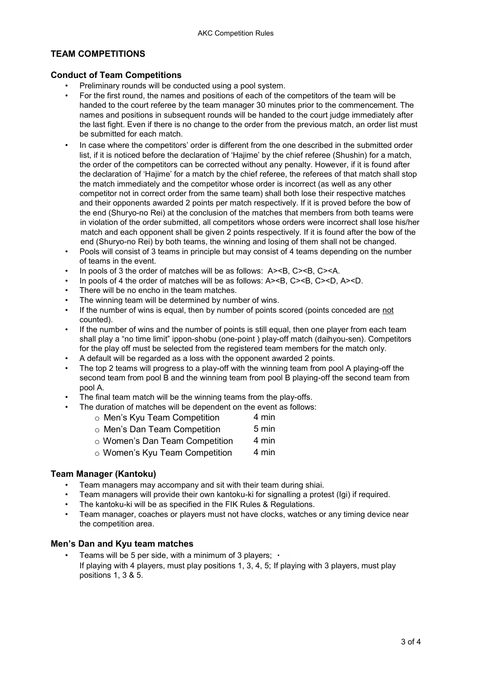# **TEAM COMPETITIONS**

### **Conduct of Team Competitions**

- Preliminary rounds will be conducted using a pool system.
- For the first round, the names and positions of each of the competitors of the team will be handed to the court referee by the team manager 30 minutes prior to the commencement. The names and positions in subsequent rounds will be handed to the court judge immediately after the last fight. Even if there is no change to the order from the previous match, an order list must be submitted for each match.
- In case where the competitors' order is different from the one described in the submitted order list, if it is noticed before the declaration of 'Hajime' by the chief referee (Shushin) for a match, the order of the competitors can be corrected without any penalty. However, if it is found after the declaration of 'Hajime' for a match by the chief referee, the referees of that match shall stop the match immediately and the competitor whose order is incorrect (as well as any other competitor not in correct order from the same team) shall both lose their respective matches and their opponents awarded 2 points per match respectively. If it is proved before the bow of the end (Shuryo-no Rei) at the conclusion of the matches that members from both teams were in violation of the order submitted, all competitors whose orders were incorrect shall lose his/her match and each opponent shall be given 2 points respectively. If it is found after the bow of the end (Shuryo-no Rei) by both teams, the winning and losing of them shall not be changed.
- Pools will consist of 3 teams in principle but may consist of 4 teams depending on the number of teams in the event.
- In pools of 3 the order of matches will be as follows: A><B, C><B, C><A.
- In pools of 4 the order of matches will be as follows: A><B, C><B, C><D, A><D.
- There will be no encho in the team matches.
- The winning team will be determined by number of wins.
- If the number of wins is equal, then by number of points scored (points conceded are not counted).
- If the number of wins and the number of points is still equal, then one player from each team shall play a "no time limit" ippon-shobu (one-point ) play-off match (daihyou-sen). Competitors for the play off must be selected from the registered team members for the match only.
- A default will be regarded as a loss with the opponent awarded 2 points.
- The top 2 teams will progress to a play-off with the winning team from pool A playing-off the second team from pool B and the winning team from pool B playing-off the second team from pool A.
- The final team match will be the winning teams from the play-offs.
	- The duration of matches will be dependent on the event as follows:

|  |  | ○ Men's Kyu Team Competition | 4 min |
|--|--|------------------------------|-------|
|--|--|------------------------------|-------|

- o Men's Dan Team Competition 5 min
- o Women's Dan Team Competition 4 min
- $\circ$  Women's Kyu Team Competition  $\qquad 4$  min

# **Team Manager (Kantoku)**

- Team managers may accompany and sit with their team during shiai.
- Team managers will provide their own kantoku-ki for signalling a protest (Igi) if required.
- The kantoku-ki will be as specified in the FIK Rules & Regulations.
- Team manager, coaches or players must not have clocks, watches or any timing device near the competition area.

# **Men's Dan and Kyu team matches**

• Teams will be 5 per side, with a minimum of 3 players;  $\cdot$ If playing with 4 players, must play positions 1, 3, 4, 5; If playing with 3 players, must play positions 1, 3 & 5.